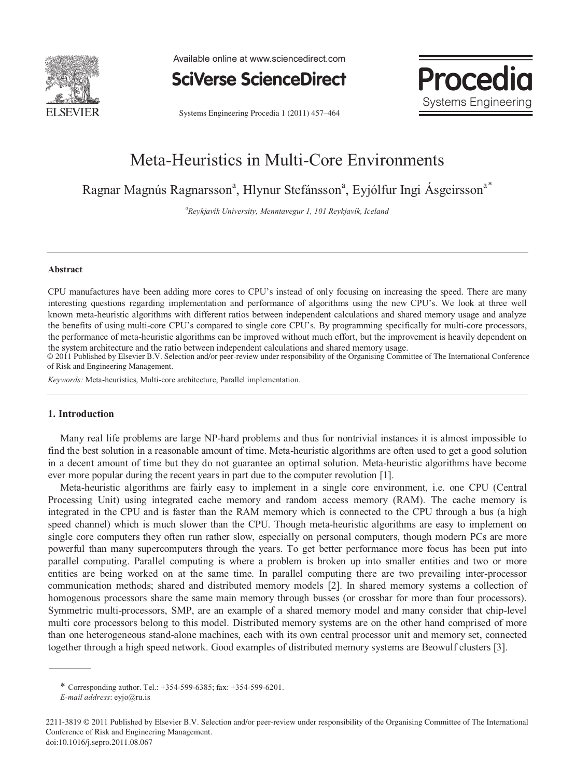

Available online at www.sciencedirect.com



Systems Engineering Procedia 1 (2011) 457–464



## Meta-Heuristics in Multi-Core Environments

Ragnar Magnús Ragnarsson<sup>a</sup>, Hlynur Stefánsson<sup>a</sup>, Eyjólfur Ingi Ásgeirsson<sup>a\*</sup>

*a Reykjavík University, Menntavegur 1, 101 Reykjavík, Iceland*

#### **Abstract**

CPU manufactures have been adding more cores to CPU's instead of only focusing on increasing the speed. There are many interesting questions regarding implementation and performance of algorithms using the new CPU's. We look at three well known meta-heuristic algorithms with different ratios between independent calculations and shared memory usage and analyze the benefits of using multi-core CPU's compared to single core CPU's. By programming specifically for multi-core processors, the performance of meta-heuristic algorithms can be improved without much effort, but the improvement is heavily dependent on the system architecture and the ratio between independent calculations and shared memory usage.

© 2011 Published by Elsevier B.V. Selection and/or peer-review under responsibility of the Organising Committee of The International Conference of Risk and Engineering Management.

*Keywords:* Meta-heuristics, Multi-core architecture, Parallel implementation.

### **1. Introduction**

Many real life problems are large NP-hard problems and thus for nontrivial instances it is almost impossible to find the best solution in a reasonable amount of time. Meta-heuristic algorithms are often used to get a good solution in a decent amount of time but they do not guarantee an optimal solution. Meta-heuristic algorithms have become ever more popular during the recent years in part due to the computer revolution [1].

Meta-heuristic algorithms are fairly easy to implement in a single core environment, i.e. one CPU (Central Processing Unit) using integrated cache memory and random access memory (RAM). The cache memory is integrated in the CPU and is faster than the RAM memory which is connected to the CPU through a bus (a high speed channel) which is much slower than the CPU. Though meta-heuristic algorithms are easy to implement on single core computers they often run rather slow, especially on personal computers, though modern PCs are more powerful than many supercomputers through the years. To get better performance more focus has been put into parallel computing. Parallel computing is where a problem is broken up into smaller entities and two or more entities are being worked on at the same time. In parallel computing there are two prevailing inter-processor communication methods; shared and distributed memory models [2]. In shared memory systems a collection of homogenous processors share the same main memory through busses (or crossbar for more than four processors). Symmetric multi-processors, SMP, are an example of a shared memory model and many consider that chip-level multi core processors belong to this model. Distributed memory systems are on the other hand comprised of more than one heterogeneous stand-alone machines, each with its own central processor unit and memory set, connected together through a high speed network. Good examples of distributed memory systems are Beowulf clusters [3].

\* Corresponding author. Tel.: +354-599-6385; fax: +354-599-6201. *E-mail address*: eyjo@ru.is

<sup>2211-3819 © 2011</sup> Published by Elsevier B.V. Selection and/or peer-review under responsibility of the Organising Committee of The International Conference of Risk and Engineering Management. doi:10.1016/j.sepro.2011.08.067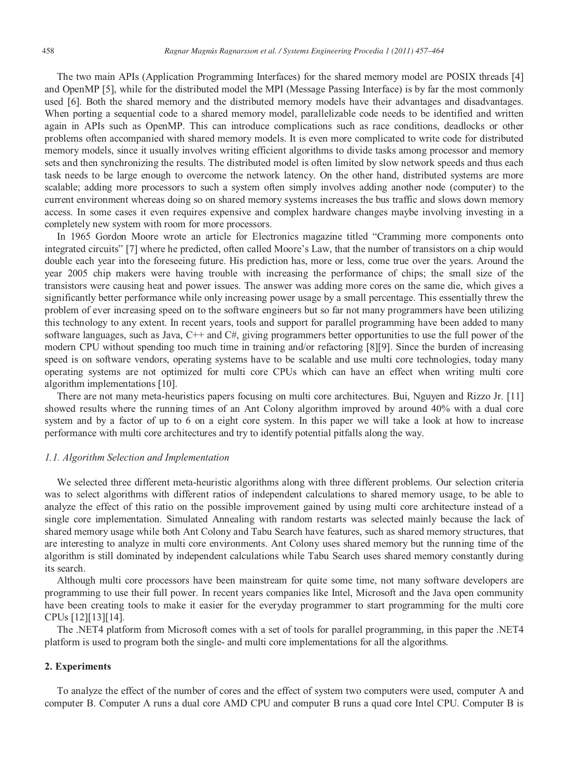The two main APIs (Application Programming Interfaces) for the shared memory model are POSIX threads [4] and OpenMP [5], while for the distributed model the MPI (Message Passing Interface) is by far the most commonly used [6]. Both the shared memory and the distributed memory models have their advantages and disadvantages. When porting a sequential code to a shared memory model, parallelizable code needs to be identified and written again in APIs such as OpenMP. This can introduce complications such as race conditions, deadlocks or other problems often accompanied with shared memory models. It is even more complicated to write code for distributed memory models, since it usually involves writing efficient algorithms to divide tasks among processor and memory sets and then synchronizing the results. The distributed model is often limited by slow network speeds and thus each task needs to be large enough to overcome the network latency. On the other hand, distributed systems are more scalable; adding more processors to such a system often simply involves adding another node (computer) to the current environment whereas doing so on shared memory systems increases the bus traffic and slows down memory access. In some cases it even requires expensive and complex hardware changes maybe involving investing in a completely new system with room for more processors.

In 1965 Gordon Moore wrote an article for Electronics magazine titled "Cramming more components onto integrated circuits" [7] where he predicted, often called Moore's Law, that the number of transistors on a chip would double each year into the foreseeing future. His prediction has, more or less, come true over the years. Around the year 2005 chip makers were having trouble with increasing the performance of chips; the small size of the transistors were causing heat and power issues. The answer was adding more cores on the same die, which gives a significantly better performance while only increasing power usage by a small percentage. This essentially threw the problem of ever increasing speed on to the software engineers but so far not many programmers have been utilizing this technology to any extent. In recent years, tools and support for parallel programming have been added to many software languages, such as Java, C++ and C#, giving programmers better opportunities to use the full power of the modern CPU without spending too much time in training and/or refactoring [8][9]. Since the burden of increasing speed is on software vendors, operating systems have to be scalable and use multi core technologies, today many operating systems are not optimized for multi core CPUs which can have an effect when writing multi core algorithm implementations [10].

There are not many meta-heuristics papers focusing on multi core architectures. Bui, Nguyen and Rizzo Jr. [11] showed results where the running times of an Ant Colony algorithm improved by around 40% with a dual core system and by a factor of up to 6 on a eight core system. In this paper we will take a look at how to increase performance with multi core architectures and try to identify potential pitfalls along the way.

#### *1.1. Algorithm Selection and Implementation*

We selected three different meta-heuristic algorithms along with three different problems. Our selection criteria was to select algorithms with different ratios of independent calculations to shared memory usage, to be able to analyze the effect of this ratio on the possible improvement gained by using multi core architecture instead of a single core implementation. Simulated Annealing with random restarts was selected mainly because the lack of shared memory usage while both Ant Colony and Tabu Search have features, such as shared memory structures, that are interesting to analyze in multi core environments. Ant Colony uses shared memory but the running time of the algorithm is still dominated by independent calculations while Tabu Search uses shared memory constantly during its search.

Although multi core processors have been mainstream for quite some time, not many software developers are programming to use their full power. In recent years companies like Intel, Microsoft and the Java open community have been creating tools to make it easier for the everyday programmer to start programming for the multi core CPUs [12][13][14].

The .NET4 platform from Microsoft comes with a set of tools for parallel programming, in this paper the .NET4 platform is used to program both the single- and multi core implementations for all the algorithms.

#### **2. Experiments**

To analyze the effect of the number of cores and the effect of system two computers were used, computer A and computer B. Computer A runs a dual core AMD CPU and computer B runs a quad core Intel CPU. Computer B is